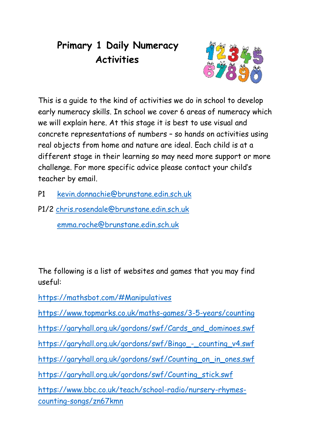# **Primary 1 Daily Numeracy Activities**



This is a guide to the kind of activities we do in school to develop early numeracy skills. In school we cover 6 areas of numeracy which we will explain here. At this stage it is best to use visual and concrete representations of numbers – so hands on activities using real objects from home and nature are ideal. Each child is at a different stage in their learning so may need more support or more challenge. For more specific advice please contact your child's teacher by email.

- P1 [kevin.donnachie@brunstane.edin.sch.uk](mailto:kevin.donnachie@brunstane.edin.sch.uk)
- P1/2 [chris.rosendale@brunstane.edin.sch.uk](mailto:chris.rosendale@brunstane.edin.sch.uk) [emma.roche@brunstane.edin.sch.uk](mailto:emma.roche@brunstane.edin.sch.uk)

The following is a list of websites and games that you may find useful:

<https://mathsbot.com/#Manipulatives>

<https://www.topmarks.co.uk/maths-games/3-5-years/counting>

[https://garyhall.org.uk/gordons/swf/Cards\\_and\\_dominoes.swf](https://garyhall.org.uk/gordons/swf/Cards_and_dominoes.swf)

[https://garyhall.org.uk/gordons/swf/Bingo\\_-\\_counting\\_v4.swf](https://garyhall.org.uk/gordons/swf/Bingo_-_counting_v4.swf)

[https://garyhall.org.uk/gordons/swf/Counting\\_on\\_in\\_ones.swf](https://garyhall.org.uk/gordons/swf/Counting_on_in_ones.swf)

[https://garyhall.org.uk/gordons/swf/Counting\\_stick.swf](https://garyhall.org.uk/gordons/swf/Counting_stick.swf)

[https://www.bbc.co.uk/teach/school-radio/nursery-rhymes](https://www.bbc.co.uk/teach/school-radio/nursery-rhymes-counting-songs/zn67kmn)[counting-songs/zn67kmn](https://www.bbc.co.uk/teach/school-radio/nursery-rhymes-counting-songs/zn67kmn)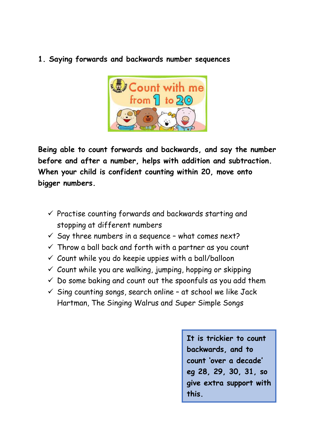**1. Saying forwards and backwards number sequences**



**Being able to count forwards and backwards, and say the number before and after a number, helps with addition and subtraction. When your child is confident counting within 20, move onto bigger numbers.**

- $\checkmark$  Practise counting forwards and backwards starting and stopping at different numbers
- $\checkmark$  Say three numbers in a sequence what comes next?
- $\checkmark$  Throw a ball back and forth with a partner as you count
- $\checkmark$  Count while you do keepie uppies with a ball/balloon
- $\checkmark$  Count while you are walking, jumping, hopping or skipping
- $\checkmark$  Do some baking and count out the spoonfuls as you add them
- $\checkmark$  Sing counting songs, search online at school we like Jack Hartman, The Singing Walrus and Super Simple Songs

**It is trickier to count backwards, and to count 'over a decade' eg 28, 29, 30, 31, so give extra support with this.**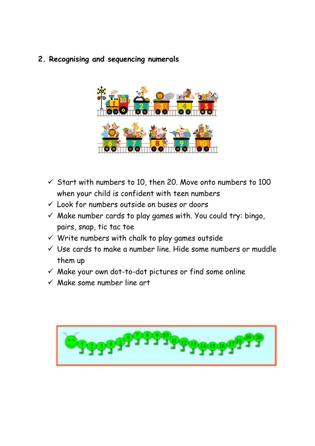**2. Recognising and sequencing numerals**



- $\checkmark$  Start with numbers to 10, then 20. Move onto numbers to 100 when your child is confident with teen numbers
- ✓ Look for numbers outside on buses or doors
- $\checkmark$  Make number cards to play games with. You could try: bingo, pairs, snap, tic tac toe
- $\checkmark$  Write numbers with chalk to play games outside
- $\checkmark$  Use cards to make a number line. Hide some numbers or muddle them up
- ✓ Make your own dot-to-dot pictures or find some online
- $\checkmark$  Make some number line art

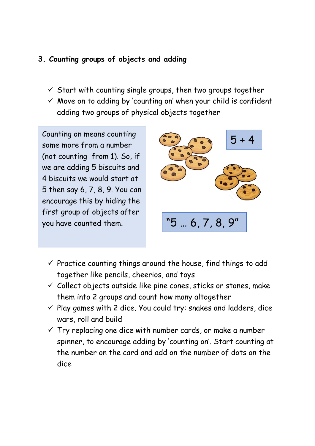## **3. Counting groups of objects and adding**

- $\checkmark$  Start with counting single groups, then two groups together
- $\checkmark$  Move on to adding by 'counting on' when your child is confident adding two groups of physical objects together

Counting on means counting some more from a number (not counting from 1). So, if we are adding 5 biscuits and 4 biscuits we would start at 5 then say 6, 7, 8, 9. You can encourage this by hiding the first group of objects after you have counted them.



- $\checkmark$  Practice counting things around the house, find things to add together like pencils, cheerios, and toys
- $\checkmark$  Collect objects outside like pine cones, sticks or stones, make them into 2 groups and count how many altogether
- $\checkmark$  Play games with 2 dice. You could try: snakes and ladders, dice wars, roll and build
- $\checkmark$  Try replacing one dice with number cards, or make a number spinner, to encourage adding by 'counting on'. Start counting at the number on the card and add on the number of dots on the dice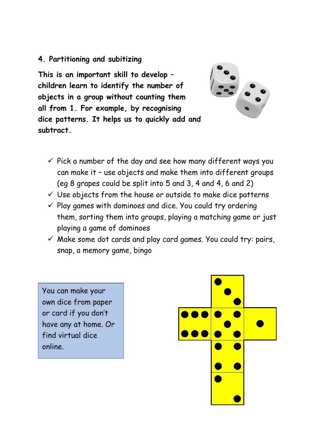### **4. Partitioning and subitizing**

**This is an important skill to develop – children learn to identify the number of objects in a group without counting them all from 1. For example, by recognising dice patterns. It helps us to quickly add an[d](https://www.google.com/url?sa=i&url=https://wherethewindsblow.com/product/white-dice-6-sided-dice-set-of-2/&psig=AOvVaw0WDKSMsNRClvzHacHkFuea&ust=1587819840667000&source=images&cd=vfe&ved=0CAIQjRxqFwoTCJjygPSPgekCFQAAAAAdAAAAABAJ)  subtract.**



- $\checkmark$  Pick a number of the day and see how many different ways you can make it – use objects and make them into different groups (eg 8 grapes could be split into 5 and 3, 4 and 4, 6 and 2)
- $\checkmark$  Use objects from the house or outside to make dice patterns
- $\checkmark$  Play games with dominoes and dice. You could try ordering them, sorting them into groups, playing a matching game or just playing a game of dominoes
- $\checkmark$  Make some dot cards and play card games. You could try: pairs, snap, a memory game, bingo

You can make your own dice from paper or card if you don't have any at home. Or find virtual dice online.

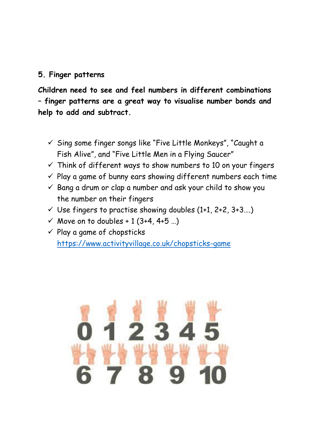### **5. Finger patterns**

**Children need to see and feel numbers in different combinations – finger patterns are a great way to visualise number bonds and help to add and subtract.**

- ✓ Sing some finger songs like "Five Little Monkeys", "Caught a Fish Alive", and "Five Little Men in a Flying Saucer"
- $\checkmark$  Think of different ways to show numbers to 10 on your fingers
- $\checkmark$  Play a game of bunny ears showing different numbers each time
- $\checkmark$  Bang a drum or clap a number and ask your child to show you the number on their fingers
- $\checkmark$  Use fingers to practise showing doubles (1+1, 2+2, 3+3....)
- ✓ Move on to doubles + 1 (3+4, 4+5 …)
- $\checkmark$  Play a game of chopsticks <https://www.activityvillage.co.uk/chopsticks-game>